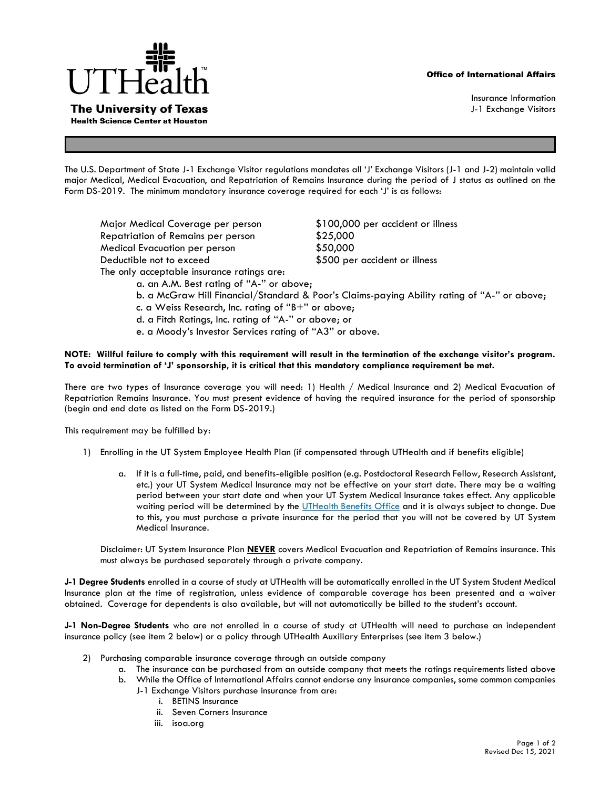## Office of International Affairs



**The University of Texas Health Science Center at Houston** 

Insurance Information J-1 Exchange Visitors

The U.S. Department of State J-1 Exchange Visitor regulations mandates all 'J' Exchange Visitors (J-1 and J-2) maintain valid major Medical, Medical Evacuation, and Repatriation of Remains Insurance during the period of J status as outlined on the Form DS-2019. The minimum mandatory insurance coverage required for each 'J' is as follows:

Major Medical Coverage per person \$100,000 per accident or illness Repatriation of Remains per person \$25,000 Medical Evacuation per person \$50,000 Deductible not to exceed  $$500$  per accident or illness The only acceptable insurance ratings are: a. an A.M. Best rating of ''A-'' or above;

- b. a McGraw Hill Financial/Standard & Poor's Claims-paying Ability rating of ''A-'' or above;
- c. a Weiss Research, Inc. rating of ''B+'' or above;
- d. a Fitch Ratings, Inc. rating of ''A-'' or above; or
- e. a Moody's Investor Services rating of ''A3'' or above.

## **NOTE: Willful failure to comply with this requirement will result in the termination of the exchange visitor's program. To avoid termination of 'J' sponsorship, it is critical that this mandatory compliance requirement be met.**

There are two types of Insurance coverage you will need: 1) Health / Medical Insurance and 2) Medical Evacuation of Repatriation Remains Insurance. You must present evidence of having the required insurance for the period of sponsorship (begin and end date as listed on the Form DS-2019.)

This requirement may be fulfilled by:

- 1) Enrolling in the UT System Employee Health Plan (if compensated through UTHealth and if benefits eligible)
	- a. If it is a full-time, paid, and benefits-eligible position (e.g. Postdoctoral Research Fellow, Research Assistant, etc.) your UT System Medical Insurance may not be effective on your start date. There may be a waiting period between your start date and when your UT System Medical Insurance takes effect. Any applicable waiting period will be determined by the [UTHealth Benefits Office](https://www.uth.edu/benefits/contact-us.htm) and it is always subject to change. Due to this, you must purchase a private insurance for the period that you will not be covered by UT System Medical Insurance.

Disclaimer: UT System Insurance Plan **NEVER** covers Medical Evacuation and Repatriation of Remains insurance. This must always be purchased separately through a private company.

**J-1 Degree Students** enrolled in a course of study at UTHealth will be automatically enrolled in the UT System Student Medical Insurance plan at the time of registration, unless evidence of comparable coverage has been presented and a waiver obtained. Coverage for dependents is also available, but will not automatically be billed to the student's account.

**J-1 Non-Degree Students** who are not enrolled in a course of study at UTHealth will need to purchase an independent insurance policy (see item 2 below) or a policy through UTHealth Auxiliary Enterprises (see item 3 below.)

- 2) Purchasing comparable insurance coverage through an outside company
	- a. The insurance can be purchased from an outside company that meets the ratings requirements listed above
	- b. While the Office of International Affairs cannot endorse any insurance companies, some common companies
		- J-1 Exchange Visitors purchase insurance from are:
			- i. BETINS Insurance
			- ii. Seven Corners Insurance
			- iii. isoa.org